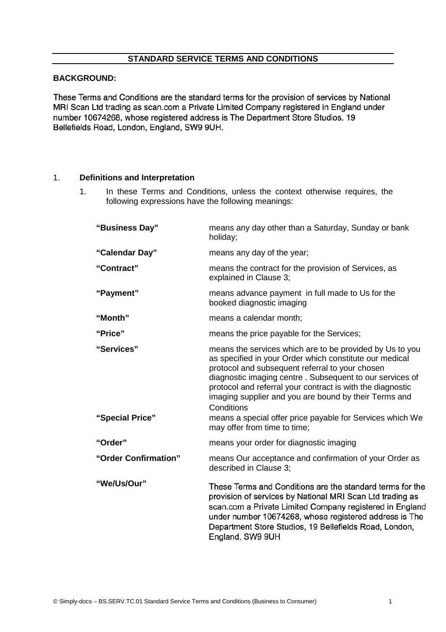# **BACKGROUND:**

These Terms and Conditions are the standard terms for the provision of services by National MRI Scan Ltd trading as scan.com a Private Limited Company registered in England under number 10674268, whose registered address is The Department Store Studios, 19 Bellefields Road, London, England, SW9 9UH.

#### 1. **Definitions and Interpretation**

1. In these Terms and Conditions, unless the context otherwise requires, the following expressions have the following meanings:

| means any day other than a Saturday, Sunday or bank<br>holiday;                                                                                                                                                                                                                                                                                                                                                                                                      |
|----------------------------------------------------------------------------------------------------------------------------------------------------------------------------------------------------------------------------------------------------------------------------------------------------------------------------------------------------------------------------------------------------------------------------------------------------------------------|
| means any day of the year;                                                                                                                                                                                                                                                                                                                                                                                                                                           |
| means the contract for the provision of Services, as<br>explained in Clause 3;                                                                                                                                                                                                                                                                                                                                                                                       |
| means advance payment in full made to Us for the<br>booked diagnostic imaging                                                                                                                                                                                                                                                                                                                                                                                        |
| means a calendar month;                                                                                                                                                                                                                                                                                                                                                                                                                                              |
| means the price payable for the Services;                                                                                                                                                                                                                                                                                                                                                                                                                            |
| means the services which are to be provided by Us to you<br>as specified in your Order which constitute our medical<br>protocol and subsequent referral to your chosen<br>diagnostic imaging centre. Subsequent to our services of<br>protocol and referral your contract is with the diagnostic<br>imaging supplier and you are bound by their Terms and<br>Conditions<br>means a special offer price payable for Services which We<br>may offer from time to time; |
| means your order for diagnostic imaging                                                                                                                                                                                                                                                                                                                                                                                                                              |
| means Our acceptance and confirmation of your Order as<br>described in Clause 3;                                                                                                                                                                                                                                                                                                                                                                                     |
| These Terms and Conditions are the standard terms for the<br>provision of services by National MRI Scan Ltd trading as<br>scan.com a Private Limited Company registered in England<br>under number 10674268, whose registered address is The<br>Department Store Studios, 19 Bellefields Road, London,<br>England, SW9 9UH                                                                                                                                           |
|                                                                                                                                                                                                                                                                                                                                                                                                                                                                      |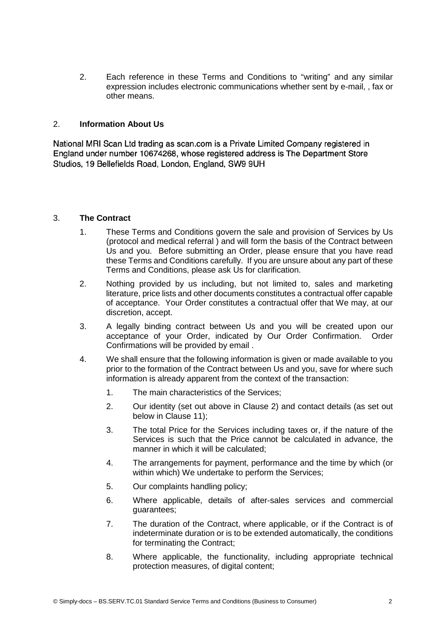2. Each reference in these Terms and Conditions to "writing" and any similar expression includes electronic communications whether sent by e-mail, , fax or other means.

### 2. **Information About Us**

National MRI Scan Ltd trading as scan.com is a Private Limited Company registered in regional in it Ocali Eld traditing as scantooning a Final Elmitod Company registered in Ligianu unusi number 10074200, whose registered address is The Department Store<br>Objektive 10 Bellefields Beach Leaders England, OMO OHL Studios, 19 Bellefields Road, London, England, SW9 9UH

#### 3. **The Contract**

- 1. These Terms and Conditions govern the sale and provision of Services by Us (protocol and medical referral ) and will form the basis of the Contract between Us and you. Before submitting an Order, please ensure that you have read these Terms and Conditions carefully. If you are unsure about any part of these Terms and Conditions, please ask Us for clarification.
- 2. Nothing provided by us including, but not limited to, sales and marketing literature, price lists and other documents constitutes a contractual offer capable of acceptance. Your Order constitutes a contractual offer that We may, at our discretion, accept.
- 3. A legally binding contract between Us and you will be created upon our acceptance of your Order, indicated by Our Order Confirmation. Order Confirmations will be provided by email .
- 4. We shall ensure that the following information is given or made available to you prior to the formation of the Contract between Us and you, save for where such information is already apparent from the context of the transaction:
	- 1. The main characteristics of the Services;
	- 2. Our identity (set out above in Clause 2) and contact details (as set out below in Clause 11);
	- 3. The total Price for the Services including taxes or, if the nature of the Services is such that the Price cannot be calculated in advance, the manner in which it will be calculated;
	- 4. The arrangements for payment, performance and the time by which (or within which) We undertake to perform the Services;
	- 5. Our complaints handling policy;
	- 6. Where applicable, details of after-sales services and commercial guarantees;
	- 7. The duration of the Contract, where applicable, or if the Contract is of indeterminate duration or is to be extended automatically, the conditions for terminating the Contract;
	- 8. Where applicable, the functionality, including appropriate technical protection measures, of digital content;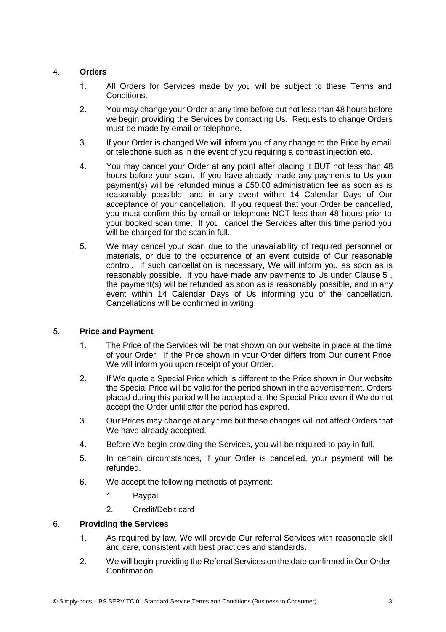## 4. **Orders**

- 1. All Orders for Services made by you will be subject to these Terms and Conditions.
- 2. You may change your Order at any time before but not less than 48 hours before we begin providing the Services by contacting Us. Requests to change Orders must be made by email or telephone.
- 3. If your Order is changed We will inform you of any change to the Price by email or telephone such as in the event of you requiring a contrast injection etc.
- 4. You may cancel your Order at any point after placing it BUT not less than 48 hours before your scan. If you have already made any payments to Us your payment(s) will be refunded minus a £50.00 administration fee as soon as is reasonably possible, and in any event within 14 Calendar Days of Our acceptance of your cancellation. If you request that your Order be cancelled, you must confirm this by email or telephone NOT less than 48 hours prior to your booked scan time. If you cancel the Services after this time period you will be charged for the scan in full.
- 5. We may cancel your scan due to the unavailability of required personnel or materials, or due to the occurrence of an event outside of Our reasonable control. If such cancellation is necessary, We will inform you as soon as is reasonably possible. If you have made any payments to Us under Clause 5 , the payment(s) will be refunded as soon as is reasonably possible, and in any event within 14 Calendar Days of Us informing you of the cancellation. Cancellations will be confirmed in writing.

## 5. **Price and Payment**

- 1. The Price of the Services will be that shown on our website in place at the time of your Order. If the Price shown in your Order differs from Our current Price We will inform you upon receipt of your Order.
- 2. If We quote a Special Price which is different to the Price shown in Our website the Special Price will be valid for the period shown in the advertisement. Orders placed during this period will be accepted at the Special Price even if We do not accept the Order until after the period has expired.
- 3. Our Prices may change at any time but these changes will not affect Orders that We have already accepted.
- 4. Before We begin providing the Services, you will be required to pay in full.
- 5. In certain circumstances, if your Order is cancelled, your payment will be refunded.
- 6. We accept the following methods of payment:
	- 1. Paypal
	- 2. Credit/Debit card

## 6. **Providing the Services**

- 1. As required by law, We will provide Our referral Services with reasonable skill and care, consistent with best practices and standards.
- 2. We will begin providing the Referral Services on the date confirmed in Our Order Confirmation.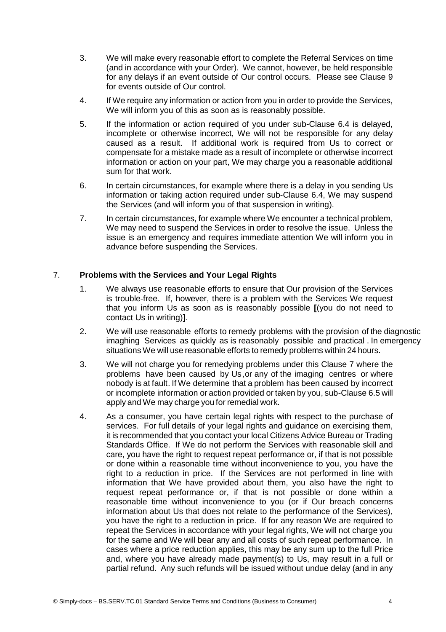- 3. We will make every reasonable effort to complete the Referral Services on time (and in accordance with your Order). We cannot, however, be held responsible for any delays if an event outside of Our control occurs. Please see Clause 9 for events outside of Our control.
- 4. If We require any information or action from you in order to provide the Services, We will inform you of this as soon as is reasonably possible.
- 5. If the information or action required of you under sub-Clause 6.4 is delayed, incomplete or otherwise incorrect, We will not be responsible for any delay caused as a result. If additional work is required from Us to correct or compensate for a mistake made as a result of incomplete or otherwise incorrect information or action on your part, We may charge you a reasonable additional sum for that work.
- 6. In certain circumstances, for example where there is a delay in you sending Us information or taking action required under sub-Clause 6.4, We may suspend the Services (and will inform you of that suspension in writing).
- 7. In certain circumstances, for example where We encounter a technical problem, We may need to suspend the Services in order to resolve the issue. Unless the issue is an emergency and requires immediate attention We will inform you in advance before suspending the Services.

# 7. **Problems with the Services and Your Legal Rights**

- 1. We always use reasonable efforts to ensure that Our provision of the Services is trouble-free. If, however, there is a problem with the Services We request that you inform Us as soon as is reasonably possible **[**(you do not need to contact Us in writing)**]**.
- 2. We will use reasonable efforts to remedy problems with the provision of the diagnostic imaghing Services as quickly as is reasonably possible and practical . In emergency situations We will use reasonable efforts to remedy problems within 24 hours.
- 3. We will not charge you for remedying problems under this Clause 7 where the problems have been caused by Us,or any of the imaging centres or where nobody is at fault. If We determine that a problem has been caused by incorrect or incomplete information or action provided or taken by you, sub-Clause 6.5 will apply and We may charge you for remedial work.
- 4. As a consumer, you have certain legal rights with respect to the purchase of services. For full details of your legal rights and guidance on exercising them, it is recommended that you contact your local Citizens Advice Bureau or Trading Standards Office. If We do not perform the Services with reasonable skill and care, you have the right to request repeat performance or, if that is not possible or done within a reasonable time without inconvenience to you, you have the right to a reduction in price. If the Services are not performed in line with information that We have provided about them, you also have the right to request repeat performance or, if that is not possible or done within a reasonable time without inconvenience to you (or if Our breach concerns information about Us that does not relate to the performance of the Services), you have the right to a reduction in price. If for any reason We are required to repeat the Services in accordance with your legal rights, We will not charge you for the same and We will bear any and all costs of such repeat performance. In cases where a price reduction applies, this may be any sum up to the full Price and, where you have already made payment(s) to Us, may result in a full or partial refund. Any such refunds will be issued without undue delay (and in any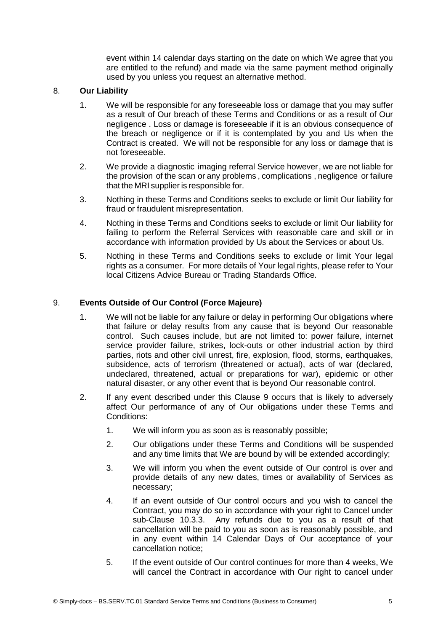event within 14 calendar days starting on the date on which We agree that you are entitled to the refund) and made via the same payment method originally used by you unless you request an alternative method.

## 8. **Our Liability**

- 1. We will be responsible for any foreseeable loss or damage that you may suffer as a result of Our breach of these Terms and Conditions or as a result of Our negligence . Loss or damage is foreseeable if it is an obvious consequence of the breach or negligence or if it is contemplated by you and Us when the Contract is created. We will not be responsible for any loss or damage that is not foreseeable.
- 2. We provide a diagnostic imaging referral Service however, we are not liable for the provision of the scan or any problems , complications , negligence or failure that the MRI supplier is responsible for.
- 3. Nothing in these Terms and Conditions seeks to exclude or limit Our liability for fraud or fraudulent misrepresentation.
- 4. Nothing in these Terms and Conditions seeks to exclude or limit Our liability for failing to perform the Referral Services with reasonable care and skill or in accordance with information provided by Us about the Services or about Us.
- 5. Nothing in these Terms and Conditions seeks to exclude or limit Your legal rights as a consumer. For more details of Your legal rights, please refer to Your local Citizens Advice Bureau or Trading Standards Office.

# 9. **Events Outside of Our Control (Force Majeure)**

- 1. We will not be liable for any failure or delay in performing Our obligations where that failure or delay results from any cause that is beyond Our reasonable control. Such causes include, but are not limited to: power failure, internet service provider failure, strikes, lock-outs or other industrial action by third parties, riots and other civil unrest, fire, explosion, flood, storms, earthquakes, subsidence, acts of terrorism (threatened or actual), acts of war (declared, undeclared, threatened, actual or preparations for war), epidemic or other natural disaster, or any other event that is beyond Our reasonable control.
- 2. If any event described under this Clause 9 occurs that is likely to adversely affect Our performance of any of Our obligations under these Terms and Conditions:
	- 1. We will inform you as soon as is reasonably possible;
	- 2. Our obligations under these Terms and Conditions will be suspended and any time limits that We are bound by will be extended accordingly;
	- 3. We will inform you when the event outside of Our control is over and provide details of any new dates, times or availability of Services as necessary;
	- 4. If an event outside of Our control occurs and you wish to cancel the Contract, you may do so in accordance with your right to Cancel under sub-Clause 10.3.3. Any refunds due to you as a result of that cancellation will be paid to you as soon as is reasonably possible, and in any event within 14 Calendar Days of Our acceptance of your cancellation notice;
	- 5. If the event outside of Our control continues for more than 4 weeks, We will cancel the Contract in accordance with Our right to cancel under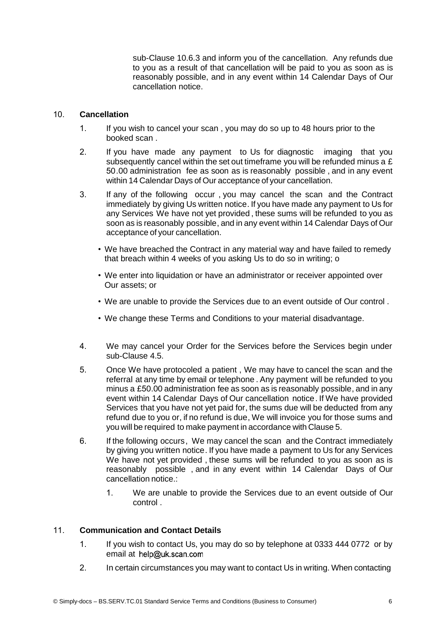sub-Clause 10.6.3 and inform you of the cancellation. Any refunds due to you as a result of that cancellation will be paid to you as soon as is reasonably possible, and in any event within 14 Calendar Days of Our cancellation notice.

## 10. **Cancellation**

- 1. If you wish to cancel your scan , you may do so up to 48 hours prior to the booked scan .
- 2. If you have made any payment to Us for diagnostic imaging that you subsequently cancel within the set out timeframe you will be refunded minus a £ 50.00 administration fee as soon as is reasonably possible , and in any event within 14 Calendar Days of Our acceptance of your cancellation.
- 3. If any of the following occur , you may cancel the scan and the Contract immediately by giving Us written notice. If you have made any payment to Us for any Services We have not yet provided , these sums will be refunded to you as soon as is reasonably possible, and in any event within 14 Calendar Days of Our acceptance of your cancellation.
	- We have breached the Contract in any material way and have failed to remedy that breach within 4 weeks of you asking Us to do so in writing; o
	- We enter into liquidation or have an administrator or receiver appointed over Our assets; or
	- We are unable to provide the Services due to an event outside of Our control .
	- We change these Terms and Conditions to your material disadvantage.
- 4. We may cancel your Order for the Services before the Services begin under sub-Clause 4.5.
- 5. Once We have protocoled a patient , We may have to cancel the scan and the referral at any time by email or telephone . Any payment will be refunded to you minus a £50.00 administration fee as soon as is reasonably possible, and in any event within 14 Calendar Days of Our cancellation notice. If We have provided Services that you have not yet paid for, the sums due will be deducted from any refund due to you or, if no refund is due, We will invoice you for those sums and you will be required to make payment in accordance with Clause 5.
- 6. If the following occurs, We may cancel the scan and the Contract immediately by giving you written notice. If you have made a payment to Us for any Services We have not yet provided, these sums will be refunded to you as soon as is reasonably possible , and in any event within 14 Calendar Days of Our cancellation notice.:
	- 1. We are unable to provide the Services due to an event outside of Our control .

## 11. **Communication and Contact Details**

- 1. If you wish to contact Us, you may do so by telephone at 0333 444 0772 or by email at help@uk.scan.com
- 2. In certain circumstances you may want to contact Us in writing. When contacting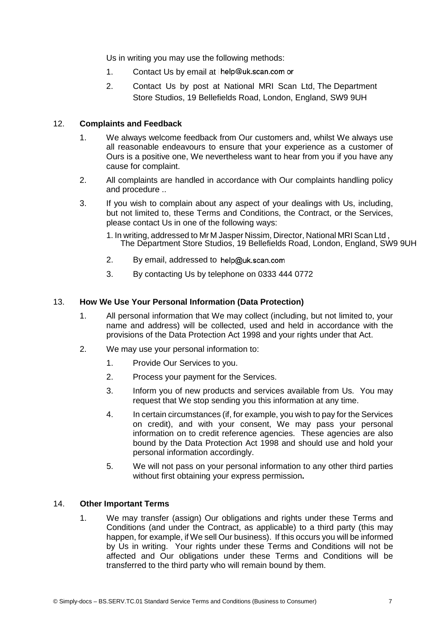Us in writing you may use the following methods:

- 1. Contact Us by email at help@uk.scan.com or
- 2. Contact Us by post at National MRI Scan Ltd, The Department Store Studios, 19 Bellefields Road, London, England, SW9 9UH

### 12. **Complaints and Feedback**

- 1. We always welcome feedback from Our customers and, whilst We always use all reasonable endeavours to ensure that your experience as a customer of Ours is a positive one, We nevertheless want to hear from you if you have any cause for complaint.
- 2. All complaints are handled in accordance with Our complaints handling policy and procedure ..
- 3. If you wish to complain about any aspect of your dealings with Us, including, but not limited to, these Terms and Conditions, the Contract, or the Services, please contact Us in one of the following ways:
	- 1. In writing, addressed to Mr <sup>M</sup> Jasper Nissim, Director, National MRI Scan Ltd , The Department Store Studios, <sup>19</sup> Bellefields Road, London, England, SW9 9UH
	- 2. By email, addressed to help@uk.scan.com
	- 3. By contacting Us by telephone on 0333 444 0772

#### 13. **How We Use Your Personal Information (Data Protection)**

- 1. All personal information that We may collect (including, but not limited to, your name and address) will be collected, used and held in accordance with the provisions of the Data Protection Act 1998 and your rights under that Act.
- 2. We may use your personal information to:
	- 1. Provide Our Services to you.
	- 2. Process your payment for the Services.
	- 3. Inform you of new products and services available from Us. You may request that We stop sending you this information at any time.
	- 4. In certain circumstances (if, for example, you wish to pay for the Services on credit), and with your consent, We may pass your personal information on to credit reference agencies. These agencies are also bound by the Data Protection Act 1998 and should use and hold your personal information accordingly.
	- 5. We will not pass on your personal information to any other third parties without first obtaining your express permission**.**

#### 14. **Other Important Terms**

1. We may transfer (assign) Our obligations and rights under these Terms and Conditions (and under the Contract, as applicable) to a third party (this may happen, for example, if We sell Our business). If this occurs you will be informed by Us in writing. Your rights under these Terms and Conditions will not be affected and Our obligations under these Terms and Conditions will be transferred to the third party who will remain bound by them.